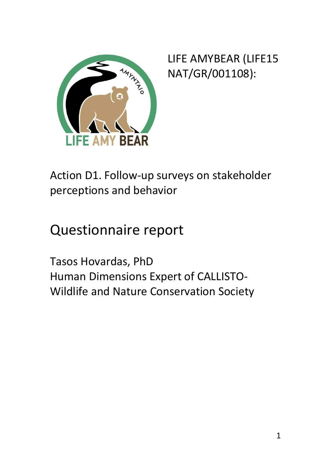

LIFE AMYBEAR (LIFE15 NAT/GR/001108):

Action D1. Follow-up surveys on stakeholder perceptions and behavior

# Questionnaire report

Tasos Hovardas, PhD Human Dimensions Expert of CALLISTO-Wildlife and Nature Conservation Society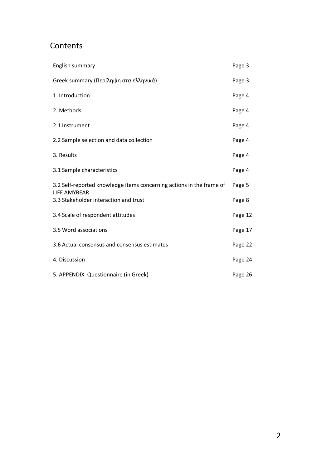#### **Contents**

| English summary                                                                             | Page 3  |
|---------------------------------------------------------------------------------------------|---------|
| Greek summary (Περίληψη στα ελληνικά)                                                       | Page 3  |
| 1. Introduction                                                                             | Page 4  |
| 2. Methods                                                                                  | Page 4  |
| 2.1 Instrument                                                                              | Page 4  |
| 2.2 Sample selection and data collection                                                    | Page 4  |
| 3. Results                                                                                  | Page 4  |
| 3.1 Sample characteristics                                                                  | Page 4  |
| 3.2 Self-reported knowledge items concerning actions in the frame of<br><b>LIFE AMYBEAR</b> | Page 5  |
| 3.3 Stakeholder interaction and trust                                                       | Page 8  |
| 3.4 Scale of respondent attitudes                                                           | Page 12 |
| 3.5 Word associations                                                                       | Page 17 |
| 3.6 Actual consensus and consensus estimates                                                | Page 22 |
| 4. Discussion                                                                               | Page 24 |
| 5. APPENDIX. Questionnaire (in Greek)                                                       | Page 26 |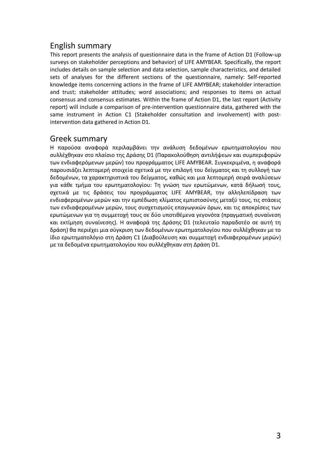#### English summary

This report presents the analysis of questionnaire data in the frame of Action D1 (Follow-up surveys on stakeholder perceptions and behavior) of LIFE AMYBEAR. Specifically, the report includes details on sample selection and data selection, sample characteristics, and detailed sets of analyses for the different sections of the questionnaire, namely: Self-reported knowledge items concerning actions in the frame of LIFE AMYBEAR; stakeholder interaction and trust; stakeholder attitudes; word associations; and responses to items on actual consensus and consensus estimates. Within the frame of Action D1, the last report (Activity report) will include a comparison of pre-intervention questionnaire data, gathered with the same instrument in Action C1 (Stakeholder consultation and involvement) with postintervention data gathered in Action D1.

#### Greek summary

Η παρούσα αναφορά περιλαμβάνει την ανάλυση δεδομένων ερωτηματολογίου που συλλέχθηκαν στο πλαίσιο της Δράσης D1 (Παρακολούθηση αντιλήψεων και συμπεριφορών των ενδιαφερόμενων μερών) του προγράμματος LIFE AMYBEAR. Συγκεκριμένα, η αναφορά παρουσιάζει λεπτομερή στοιχεία σχετικά με την επιλογή του δείγματος και τη συλλογή των δεδομένων, τα χαρακτηριστικά του δείγματος, καθώς και μια λεπτομερή σειρά αναλύσεων για κάθε τμήμα του ερωτηματολογίου: Τη γνώση των ερωτώμενων, κατά δήλωσή τους, σχετικά με τις δράσεις του προγράμματος LIFE AMYBEAR, την αλληλεπίδραση των ενδιαφερομένων μερών και την εμπέδωση κλίματος εμπιστοσύνης μεταξύ τους, τις στάσεις των ενδιαφερομένων μερών, τους συσχετισμούς επαγωγικών όρων, και τις αποκρίσεις των ερωτώμενων για τη συμμετοχή τους σε δύο υποτιθέμενα γεγονότα (πραγματική συναίνεση και εκτίμηση συναίνεσης). Η αναφορά της Δράσης D1 (τελευταίο παραδοτέο σε αυτή τη δράση) θα περιέχει μια σύγκριση των δεδομένων ερωτηματολογίου που συλλέχθηκαν με το ίδιο ερωτηματολόγιο στη Δράση C1 (Διαβούλευση και συμμετοχή ενδιαφερομένων μερών) με τα δεδομένα ερωτηματολογίου που συλλέχθηκαν στη Δράση D1.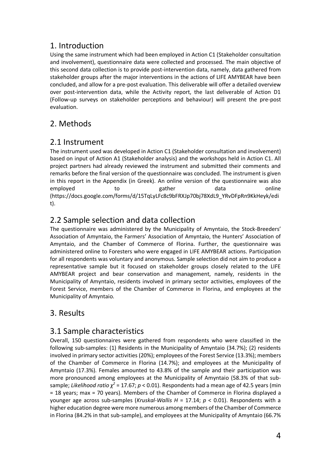#### 1. Introduction

Using the same instrument which had been employed in Action C1 (Stakeholder consultation and involvement), questionnaire data were collected and processed. The main objective of this second data collection is to provide post-intervention data, namely, data gathered from stakeholder groups after the major interventions in the actions of LIFE AMYBEAR have been concluded, and allow for a pre-post evaluation. This deliverable will offer a detailed overview over post-intervention data, while the Activity report, the last deliverable of Action D1 (Follow-up surveys on stakeholder perceptions and behaviour) will present the pre-post evaluation.

### 2. Methods

#### 2.1 Instrument

The instrument used was developed in Action C1 (Stakeholder consultation and involvement) based on input of Action A1 (Stakeholder analysis) and the workshops held in Action C1. All project partners had already reviewed the instrument and submitted their comments and remarks before the final version of the questionnaire was concluded. The instrument is given in this report in the Appendix (in Greek). An online version of the questionnaire was also employed to to gather data online (https://docs.google.com/forms/d/15TqLyLFc8c9bFRXJp70bj78XdL9\_YRvDFpRn9KkHeyk/edi t).

#### 2.2 Sample selection and data collection

The questionnaire was administered by the Municipality of Amyntaio, the Stock-Breeders' Association of Amyntaio, the Farmers' Association of Amyntaio, the Hunters' Association of Amyntaio, and the Chamber of Commerce of Florina. Further, the questionnaire was administered online to Foresters who were engaged in LIFE AMYBEAR actions. Participation for all respondents was voluntary and anonymous. Sample selection did not aim to produce a representative sample but it focused on stakeholder groups closely related to the LIFE AMYBEAR project and bear conservation and management, namely, residents in the Municipality of Amyntaio, residents involved in primary sector activities, employees of the Forest Service, members of the Chamber of Commerce in Florina, and employees at the Municipality of Amyntaio.

#### 3. Results

#### 3.1 Sample characteristics

Overall, 150 questionnaires were gathered from respondents who were classified in the following sub-samples: (1) Residents in the Municipality of Amyntaio (34.7%); (2) residents involved in primary sector activities (20%); employees of the Forest Service (13.3%); members of the Chamber of Commerce in Florina (14.7%); and employees at the Municipality of Amyntaio (17.3%). Females amounted to 43.8% of the sample and their participation was more pronounced among employees at the Municipality of Amyntaio (58.3% of that subsample; *Likelihood ratio*  $\chi^2$  = 17.67;  $p$  < 0.01). Respondents had a mean age of 42.5 years (min = 18 years; max = 70 years). Members of the Chamber of Commerce in Florina displayed a younger age across sub-samples (*Kruskal-Wallis H* = 17.14; *p* < 0.01). Respondents with a higher education degree were more numerous among members of the Chamber of Commerce in Florina (84.2% in that sub-sample), and employees at the Municipality of Amyntaio (66.7%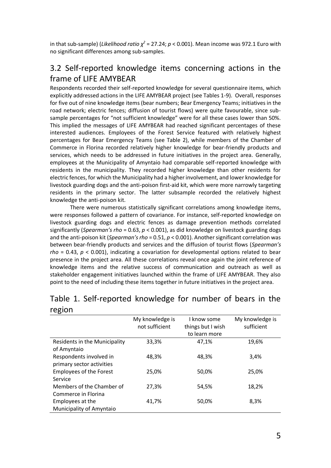in that sub-sample) (*Likelihood ratio χ <sup>2</sup>* = 27.24; *p* < 0.001). Mean income was 972.1 Euro with no significant differences among sub-samples.

#### 3.2 Self-reported knowledge items concerning actions in the frame of LIFE AMYBEAR

Respondents recorded their self-reported knowledge for several questionnaire items, which explicitly addressed actions in the LIFE AMYBEAR project (see Tables 1-9). Overall, responses for five out of nine knowledge items (bear numbers; Bear Emergency Teams; initiatives in the road network; electric fences; diffusion of tourist flows) were quite favourable, since subsample percentages for "not sufficient knowledge" were for all these cases lower than 50%. This implied the messages of LIFE AMYBEAR had reached significant percentages of these interested audiences. Employees of the Forest Service featured with relatively highest percentages for Bear Emergency Teams (see Table 2), while members of the Chamber of Commerce in Florina recorded relatively higher knowledge for bear-friendly products and services, which needs to be addressed in future initiatives in the project area. Generally, employees at the Municipality of Amyntaio had comparable self-reported knowledge with residents in the municipality. They recorded higher knowledge than other residents for electric fences, for which the Municipality had a higher involvement, and lower knowledge for livestock guarding dogs and the anti-poison first-aid kit, which were more narrowly targeting residents in the primary sector. The latter subsample recorded the relatively highest knowledge the anti-poison kit.

There were numerous statistically significant correlations among knowledge items, were responses followed a pattern of covariance. For instance, self-reported knowledge on livestock guarding dogs and electric fences as damage prevention methods correlated significantly (*Spearman's rho* = 0.63, *p* < 0.001), as did knowledge on livestock guarding dogs and the anti-poison kit (*Spearman's rho* = 0.51, *p* < 0.001). Another significant correlation was between bear-friendly products and services and the diffusion of tourist flows (*Spearman's rho* = 0.43, *p* < 0.001), indicating a covariation for developmental options related to bear presence in the project area. All these correlations reveal once again the joint reference of knowledge items and the relative success of communication and outreach as well as stakeholder engagement initiatives launched within the frame of LIFE AMYBEAR. They also point to the need of including these items together in future initiatives in the project area.

| ייטואָטי                                             |                                   |                                                   |                               |
|------------------------------------------------------|-----------------------------------|---------------------------------------------------|-------------------------------|
|                                                      | My knowledge is<br>not sufficient | I know some<br>things but I wish<br>to learn more | My knowledge is<br>sufficient |
| Residents in the Municipality<br>of Amyntaio         | 33,3%                             | 47,1%                                             | 19,6%                         |
| Respondents involved in<br>primary sector activities | 48,3%                             | 48,3%                                             | 3,4%                          |
| <b>Employees of the Forest</b><br>Service            | 25,0%                             | 50,0%                                             | 25,0%                         |
| Members of the Chamber of<br>Commerce in Florina     | 27,3%                             | 54,5%                                             | 18,2%                         |
| Employees at the<br>Municipality of Amyntaio         | 41.7%                             | 50,0%                                             | 8,3%                          |

#### Table 1. Self-reported knowledge for number of bears in the region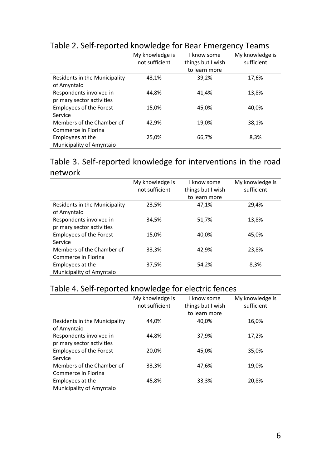|                                | My knowledge is | I know some       | My knowledge is |
|--------------------------------|-----------------|-------------------|-----------------|
|                                | not sufficient  | things but I wish | sufficient      |
|                                |                 | to learn more     |                 |
| Residents in the Municipality  | 43,1%           | 39,2%             | 17,6%           |
| of Amyntaio                    |                 |                   |                 |
| Respondents involved in        | 44,8%           | 41,4%             | 13,8%           |
| primary sector activities      |                 |                   |                 |
| <b>Employees of the Forest</b> | 15,0%           | 45,0%             | 40,0%           |
| Service                        |                 |                   |                 |
| Members of the Chamber of      | 42,9%           | 19,0%             | 38,1%           |
| Commerce in Florina            |                 |                   |                 |
| Employees at the               | 25,0%           | 66,7%             | 8,3%            |
| Municipality of Amyntaio       |                 |                   |                 |

### Table 2. Self-reported knowledge for Bear Emergency Teams

#### Table 3. Self-reported knowledge for interventions in the road network

|                                | My knowledge is | I know some       | My knowledge is |
|--------------------------------|-----------------|-------------------|-----------------|
|                                | not sufficient  | things but I wish | sufficient      |
|                                |                 | to learn more     |                 |
| Residents in the Municipality  | 23,5%           | 47,1%             | 29,4%           |
| of Amyntaio                    |                 |                   |                 |
| Respondents involved in        | 34,5%           | 51,7%             | 13,8%           |
| primary sector activities      |                 |                   |                 |
| <b>Employees of the Forest</b> | 15,0%           | 40,0%             | 45,0%           |
| Service                        |                 |                   |                 |
| Members of the Chamber of      | 33,3%           | 42,9%             | 23,8%           |
| Commerce in Florina            |                 |                   |                 |
| Employees at the               | 37,5%           | 54,2%             | 8,3%            |
| Municipality of Amyntaio       |                 |                   |                 |

### Table 4. Self-reported knowledge for electric fences

|                                | My knowledge is | I know some       | My knowledge is |
|--------------------------------|-----------------|-------------------|-----------------|
|                                | not sufficient  | things but I wish | sufficient      |
|                                |                 | to learn more     |                 |
| Residents in the Municipality  | 44,0%           | 40,0%             | 16,0%           |
| of Amyntaio                    |                 |                   |                 |
| Respondents involved in        | 44.8%           | 37,9%             | 17,2%           |
| primary sector activities      |                 |                   |                 |
| <b>Employees of the Forest</b> | 20,0%           | 45,0%             | 35,0%           |
| Service                        |                 |                   |                 |
| Members of the Chamber of      | 33,3%           | 47,6%             | 19,0%           |
| Commerce in Florina            |                 |                   |                 |
| Employees at the               | 45,8%           | 33,3%             | 20,8%           |
| Municipality of Amyntaio       |                 |                   |                 |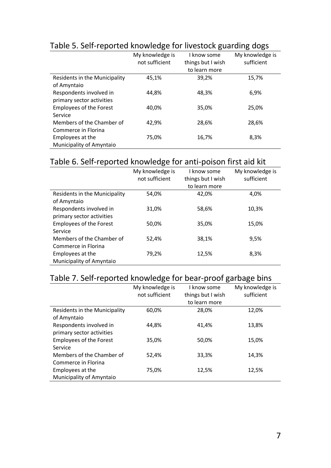|                                |                 |                   | ັ               |
|--------------------------------|-----------------|-------------------|-----------------|
|                                | My knowledge is | I know some       | My knowledge is |
|                                | not sufficient  | things but I wish | sufficient      |
|                                |                 | to learn more     |                 |
| Residents in the Municipality  | 45,1%           | 39,2%             | 15,7%           |
| of Amyntaio                    |                 |                   |                 |
| Respondents involved in        | 44,8%           | 48,3%             | 6,9%            |
| primary sector activities      |                 |                   |                 |
| <b>Employees of the Forest</b> | 40.0%           | 35,0%             | 25,0%           |
| Service                        |                 |                   |                 |
| Members of the Chamber of      | 42,9%           | 28,6%             | 28,6%           |
| Commerce in Florina            |                 |                   |                 |
| Employees at the               | 75,0%           | 16,7%             | 8,3%            |
| Municipality of Amyntaio       |                 |                   |                 |

### Table 5. Self-reported knowledge for livestock guarding dogs

### Table 6. Self-reported knowledge for anti-poison first aid kit

|                                | My knowledge is | I know some       | My knowledge is |
|--------------------------------|-----------------|-------------------|-----------------|
|                                | not sufficient  | things but I wish | sufficient      |
|                                |                 | to learn more     |                 |
| Residents in the Municipality  | 54,0%           | 42.0%             | 4,0%            |
| of Amyntaio                    |                 |                   |                 |
| Respondents involved in        | 31,0%           | 58,6%             | 10,3%           |
| primary sector activities      |                 |                   |                 |
| <b>Employees of the Forest</b> | 50.0%           | 35,0%             | 15,0%           |
| Service                        |                 |                   |                 |
| Members of the Chamber of      | 52,4%           | 38,1%             | 9,5%            |
| Commerce in Florina            |                 |                   |                 |
| Employees at the               | 79,2%           | 12,5%             | 8,3%            |
| Municipality of Amyntaio       |                 |                   |                 |

## Table 7. Self-reported knowledge for bear-proof garbage bins

|                                | My knowledge is | I know some       | My knowledge is |
|--------------------------------|-----------------|-------------------|-----------------|
|                                | not sufficient  | things but I wish | sufficient      |
|                                |                 | to learn more     |                 |
| Residents in the Municipality  | 60,0%           | 28,0%             | 12,0%           |
| of Amyntaio                    |                 |                   |                 |
| Respondents involved in        | 44.8%           | 41,4%             | 13,8%           |
| primary sector activities      |                 |                   |                 |
| <b>Employees of the Forest</b> | 35,0%           | 50,0%             | 15,0%           |
| Service                        |                 |                   |                 |
| Members of the Chamber of      | 52,4%           | 33,3%             | 14,3%           |
| Commerce in Florina            |                 |                   |                 |
| Employees at the               | 75,0%           | 12,5%             | 12,5%           |
| Municipality of Amyntaio       |                 |                   |                 |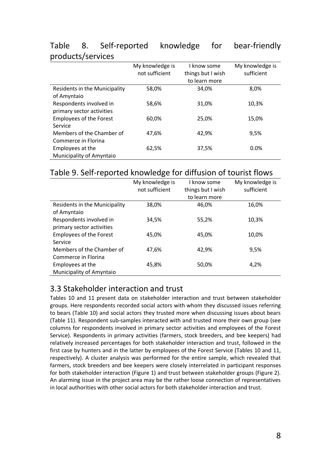| p. oa.a.o.o, oo. oo.           |                 |                   |                 |
|--------------------------------|-----------------|-------------------|-----------------|
|                                | My knowledge is | I know some       | My knowledge is |
|                                | not sufficient  | things but I wish | sufficient      |
|                                |                 | to learn more     |                 |
| Residents in the Municipality  | 58,0%           | 34,0%             | 8,0%            |
| of Amyntaio                    |                 |                   |                 |
| Respondents involved in        | 58,6%           | 31,0%             | 10,3%           |
| primary sector activities      |                 |                   |                 |
| <b>Employees of the Forest</b> | 60,0%           | 25,0%             | 15,0%           |
| Service                        |                 |                   |                 |
| Members of the Chamber of      | 47,6%           | 42,9%             | 9,5%            |
| Commerce in Florina            |                 |                   |                 |
| Employees at the               | 62,5%           | 37,5%             | 0.0%            |
| Municipality of Amyntaio       |                 |                   |                 |

#### Table 8. Self-reported knowledge for bear-friendly products/services

#### Table 9. Self-reported knowledge for diffusion of tourist flows

|                                                      | My knowledge is<br>not sufficient | I know some<br>things but I wish | My knowledge is<br>sufficient |
|------------------------------------------------------|-----------------------------------|----------------------------------|-------------------------------|
|                                                      |                                   | to learn more                    |                               |
| Residents in the Municipality<br>of Amyntaio         | 38,0%                             | 46,0%                            | 16,0%                         |
| Respondents involved in<br>primary sector activities | 34,5%                             | 55,2%                            | 10,3%                         |
| <b>Employees of the Forest</b><br>Service            | 45,0%                             | 45,0%                            | 10,0%                         |
| Members of the Chamber of<br>Commerce in Florina     | 47,6%                             | 42,9%                            | 9,5%                          |
| Employees at the<br><b>Municipality of Amyntaio</b>  | 45,8%                             | 50,0%                            | 4,2%                          |

### 3.3 Stakeholder interaction and trust

Tables 10 and 11 present data on stakeholder interaction and trust between stakeholder groups. Here respondents recorded social actors with whom they discussed issues referring to bears (Table 10) and social actors they trusted more when discussing issues about bears (Table 11). Respondent sub-samples interacted with and trusted more their own group (see columns for respondents involved in primary sector activities and employees of the Forest Service). Respondents in primary activities (farmers, stock breeders, and bee keepers) had relatively increased percentages for both stakeholder interaction and trust, followed in the first case by hunters and in the latter by employees of the Forest Service (Tables 10 and 11, respectively). A cluster analysis was performed for the entire sample, which revealed that farmers, stock breeders and bee keepers were closely interrelated in participant responses for both stakeholder interaction (Figure 1) and trust between stakeholder groups (Figure 2). An alarming issue in the project area may be the rather loose connection of representatives in local authorities with other social actors for both stakeholder interaction and trust.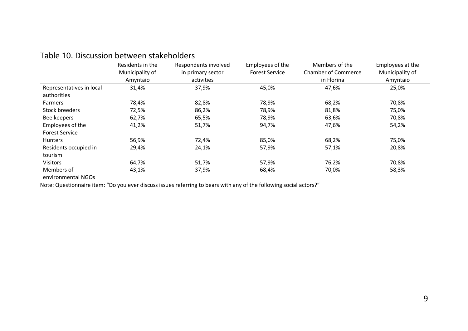|                          | Residents in the<br>Municipality of | Respondents involved<br>in primary sector | Employees of the<br><b>Forest Service</b> | Members of the<br><b>Chamber of Commerce</b> | Employees at the<br>Municipality of |
|--------------------------|-------------------------------------|-------------------------------------------|-------------------------------------------|----------------------------------------------|-------------------------------------|
|                          | Amyntaio                            | activities                                |                                           | in Florina                                   | Amyntaio                            |
| Representatives in local | 31,4%                               | 37,9%                                     | 45,0%                                     | 47,6%                                        | 25,0%                               |
| authorities              |                                     |                                           |                                           |                                              |                                     |
| Farmers                  | 78,4%                               | 82,8%                                     | 78,9%                                     | 68,2%                                        | 70,8%                               |
| Stock breeders           | 72,5%                               | 86,2%                                     | 78,9%                                     | 81,8%                                        | 75,0%                               |
| Bee keepers              | 62,7%                               | 65,5%                                     | 78,9%                                     | 63,6%                                        | 70,8%                               |
| Employees of the         | 41,2%                               | 51,7%                                     | 94,7%                                     | 47,6%                                        | 54,2%                               |
| <b>Forest Service</b>    |                                     |                                           |                                           |                                              |                                     |
| <b>Hunters</b>           | 56,9%                               | 72,4%                                     | 85,0%                                     | 68,2%                                        | 75,0%                               |
| Residents occupied in    | 29,4%                               | 24,1%                                     | 57,9%                                     | 57,1%                                        | 20,8%                               |
| tourism                  |                                     |                                           |                                           |                                              |                                     |
| <b>Visitors</b>          | 64,7%                               | 51,7%                                     | 57,9%                                     | 76,2%                                        | 70,8%                               |
| Members of               | 43,1%                               | 37,9%                                     | 68,4%                                     | 70,0%                                        | 58,3%                               |
| environmental NGOs       |                                     |                                           |                                           |                                              |                                     |

Note: Questionnaire item: "Do you ever discuss issues referring to bears with any of the following social actors?"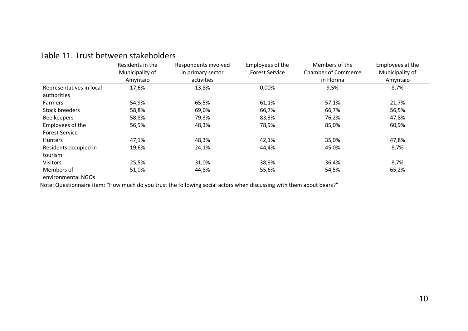|                                         | Residents in the<br>Municipality of<br>Amyntaio | Respondents involved<br>in primary sector<br>activities | Employees of the<br><b>Forest Service</b> | Members of the<br><b>Chamber of Commerce</b><br>in Florina | Employees at the<br>Municipality of<br>Amyntaio |
|-----------------------------------------|-------------------------------------------------|---------------------------------------------------------|-------------------------------------------|------------------------------------------------------------|-------------------------------------------------|
|                                         | 17,6%                                           | 13,8%                                                   | 0,00%                                     |                                                            | 8,7%                                            |
| Representatives in local<br>authorities |                                                 |                                                         |                                           | 9,5%                                                       |                                                 |
| <b>Farmers</b>                          | 54,9%                                           | 65,5%                                                   | 61,1%                                     | 57,1%                                                      | 21,7%                                           |
| <b>Stock breeders</b>                   | 58,8%                                           | 69,0%                                                   | 66,7%                                     | 66,7%                                                      | 56,5%                                           |
| Bee keepers                             | 58,8%                                           | 79,3%                                                   | 83,3%                                     | 76,2%                                                      | 47,8%                                           |
| Employees of the                        | 56,9%                                           | 48,3%                                                   | 78,9%                                     | 85,0%                                                      | 60,9%                                           |
| <b>Forest Service</b>                   |                                                 |                                                         |                                           |                                                            |                                                 |
| <b>Hunters</b>                          | 47,1%                                           | 48,3%                                                   | 42,1%                                     | 35,0%                                                      | 47,8%                                           |
| Residents occupied in                   | 19,6%                                           | 24,1%                                                   | 44,4%                                     | 45,0%                                                      | 8,7%                                            |
| tourism                                 |                                                 |                                                         |                                           |                                                            |                                                 |
| <b>Visitors</b>                         | 25,5%                                           | 31,0%                                                   | 38,9%                                     | 36,4%                                                      | 8,7%                                            |
| Members of                              | 51,0%                                           | 44,8%                                                   | 55,6%                                     | 54,5%                                                      | 65,2%                                           |
| environmental NGOs                      |                                                 |                                                         |                                           |                                                            |                                                 |

#### Table 11. Trust between stakeholders

Note: Questionnaire item: "How much do you trust the following social actors when discussing with them about bears?"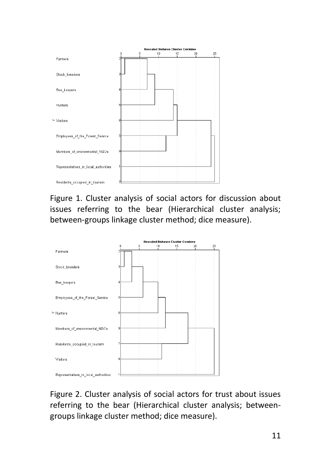

Figure 1. Cluster analysis of social actors for discussion about issues referring to the bear (Hierarchical cluster analysis; between-groups linkage cluster method; dice measure).



Figure 2. Cluster analysis of social actors for trust about issues referring to the bear (Hierarchical cluster analysis; betweengroups linkage cluster method; dice measure).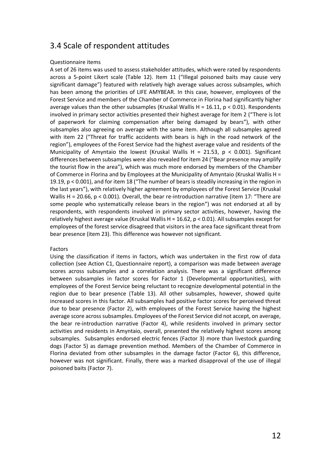#### 3.4 Scale of respondent attitudes

#### Questionnaire items

A set of 26 items was used to assess stakeholder attitudes, which were rated by respondents across a 5-point Likert scale (Table 12). Item 11 ("Illegal poisoned baits may cause very significant damage") featured with relatively high average values across subsamples, which has been among the priorities of LIFE AMYBEAR. In this case, however, employees of the Forest Service and members of the Chamber of Commerce in Florina had significantly higher average values than the other subsamples (Kruskal Wallis H = 16.11,  $p < 0.01$ ). Respondents involved in primary sector activities presented their highest average for Item 2 ("There is lot of paperwork for claiming compensation after being damaged by bears"), with other subsamples also agreeing on average with the same item. Although all subsamples agreed with item 22 ("Threat for traffic accidents with bears is high in the road network of the region"), employees of the Forest Service had the highest average value and residents of the Municipality of Amyntaio the lowest (Kruskal Wallis H = 21.53,  $p$  < 0.001). Significant differences between subsamples were also revealed for item 24 ("Bear presence may amplify the tourist flow in the area"), which was much more endorsed by members of the Chamber of Commerce in Florina and by Employees at the Municipality of Amyntaio (Kruskal Wallis H = 19.19, p < 0.001), and for item 18 ("The number of bears is steadily increasing in the region in the last years"), with relatively higher agreement by employees of the Forest Service (Kruskal Wallis H = 20.66,  $p < 0.001$ ). Overall, the bear re-introduction narrative (item 17: "There are some people who systematically release bears in the region") was not endorsed at all by respondents, with respondents involved in primary sector activities, however, having the relatively highest average value (Kruskal Wallis H = 16.62,  $p < 0.01$ ). All subsamples except for employees of the forest service disagreed that visitors in the area face significant threat from bear presence (item 23). This difference was however not significant.

#### Factors

Using the classification if items in factors, which was undertaken in the first row of data collection (see Action C1, Questionnaire report), a comparison was made between average scores across subsamples and a correlation analysis. There was a significant difference between subsamples in factor scores for Factor 1 (Developmental opportunities), with employees of the Forest Service being reluctant to recognize developmental potential in the region due to bear presence (Table 13). All other subsamples, however, showed quite increased scores in this factor. All subsamples had positive factor scores for perceived threat due to bear presence (Factor 2), with employees of the Forest Service having the highest average score across subsamples. Employees of the Forest Service did not accept, on average, the bear re-introduction narrative (Factor 4), while residents involved in primary sector activities and residents in Amyntaio, overall, presented the relatively highest scores among subsamples. Subsamples endorsed electric fences (Factor 3) more than livestock guarding dogs (Factor 5) as damage prevention method. Members of the Chamber of Commerce in Florina deviated from other subsamples in the damage factor (Factor 6), this difference, however was not significant. Finally, there was a marked disapproval of the use of illegal poisoned baits (Factor 7).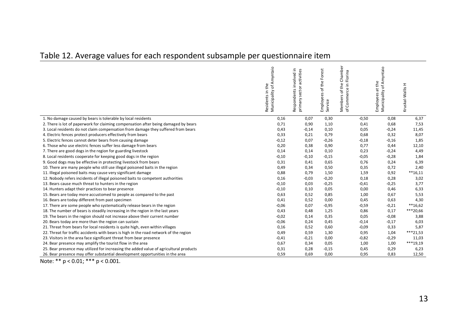## Table 12. Average values for each respondent subsample per questionnaire item

|                                                                                        | Municipality of Amyntaio<br>Residents in the | Respondents involved in<br>primary sector activities | of the Forest<br>Employees of<br>Service | Chamber<br>Florina<br>of the<br>$e$ in<br>Commerc<br>Members<br>of Comme |         | Employees at the<br>Municipality of Amyntaio<br>at the | Kruskal-Wallis H |
|----------------------------------------------------------------------------------------|----------------------------------------------|------------------------------------------------------|------------------------------------------|--------------------------------------------------------------------------|---------|--------------------------------------------------------|------------------|
| 1. No damage caused by bears is tolerable by local residents                           | 0,16                                         | 0,07                                                 | 0,30                                     |                                                                          | $-0,50$ | 0,08                                                   | 6,37             |
| 2. There is lot of paperwork for claiming compensation after being damaged by bears    | 0,71                                         | 0,90                                                 | 1,10                                     |                                                                          | 0,41    | 0,68                                                   | 7,53             |
| 3. Local residents do not claim compensation from damage they suffered from bears      | 0,43                                         | $-0,14$                                              | 0,10                                     |                                                                          | 0,05    | $-0,24$                                                | 11,45            |
| 4. Electric fences protect producers effectively from bears                            | 0,33                                         | 0,21                                                 | 0,79                                     |                                                                          | 0,68    | 0,32                                                   | 8,07             |
| 5. Electric fences cannot deter bears from causing damage                              | $-0,12$                                      | 0,07                                                 | $-0,26$                                  |                                                                          | $-0,18$ | $-0,16$                                                | 1,85             |
| 6. Those who use electric fences suffer less damage from bears                         | 0,20                                         | 0,38                                                 | 0,90                                     |                                                                          | 0,77    | 0,44                                                   | 12,10            |
| 7. There are good dogs in the region for guarding livestock                            | 0,14                                         | 0,14                                                 | 0,10                                     |                                                                          | 0,23    | $-0,24$                                                | 4,49             |
| 8. Local residents cooperate for keeping good dogs in the region                       | $-0,10$                                      | $-0,10$                                              | $-0,15$                                  |                                                                          | $-0.05$ | $-0,28$                                                | 1,84             |
| 9. Good dogs may be effective in protecting livestock from bears                       | 0,31                                         | 0,41                                                 | 0,65                                     |                                                                          | 0,76    | 0,24                                                   | 6,39             |
| 10. There are many people who still use illegal poisoned baits in the region           | 0,49                                         | 0,34                                                 | 0,50                                     |                                                                          | 0,35    | 0,72                                                   | 2,40             |
| 11. Illegal poisoned baits may cause very significant damage                           | 0,88                                         | 0,79                                                 | 1,50                                     |                                                                          | 1,59    | 0,92                                                   | $**16,11$        |
| 12. Nobody refers incidents of illegal poisoned baits to competent authorities         | 0,16                                         | $-0,03$                                              | $-0,20$                                  |                                                                          | 0,18    | 0,28                                                   | 3,02             |
| 13. Bears cause much threat to hunters in the region                                   | $-0,10$                                      | 0,03                                                 | $-0,25$                                  |                                                                          | $-0,41$ | $-0,25$                                                | 3,77             |
| 14. Hunters adapt their practices to bear presence                                     | $-0,10$                                      | 0,10                                                 | 0,05                                     |                                                                          | 0,00    | 0,46                                                   | 6,33             |
| 15. Bears are today more accustomed to people as compared to the past                  | 0,63                                         | 0,52                                                 | 0,85                                     |                                                                          | 1,00    | 0,67                                                   | 5,53             |
| 16. Bears are today different from past specimen                                       | 0,41                                         | 0,52                                                 | 0,00                                     |                                                                          | 0,45    | 0,63                                                   | 4,30             |
| 17. There are some people who systematically release bears in the region               | $-0,06$                                      | 0,07                                                 | $-0,95$                                  |                                                                          | $-0,59$ | $-0,21$                                                | $**16,62$        |
| 18. The number of bears is steadily increasing in the region in the last years         | 0,43                                         | 0,48                                                 | 1,25                                     |                                                                          | 0,86    | 0,17                                                   | ***20,66         |
| 19. The bears in the region should not increase above their current number             | $-0,02$                                      | 0,14                                                 | 0,35                                     |                                                                          | 0,05    | $-0.08$                                                | 3,88             |
| 20. Bears today are more than the region can sustain                                   | $-0,06$                                      | 0,24                                                 | 0,45                                     |                                                                          | $-0,14$ | $-0,17$                                                | 6,03             |
| 21. Threat from bears for local residents is quite high, even within villages          | 0,16                                         | 0,52                                                 | 0,60                                     |                                                                          | $-0.09$ | 0,33                                                   | 5,87             |
| 22. Threat for traffic accidents with bears is high in the road network of the region  | 0,49                                         | 0,59                                                 | 1,30                                     |                                                                          | 0,95    | 1,04                                                   | $***21,53$       |
| 23. Visitors in the area face significant threat from bear presence                    | $-0,41$                                      | $-0,21$                                              | 0,00                                     |                                                                          | $-0,82$ | $-0,29$                                                | 11,03            |
| 24. Bear presence may amplify the tourist flow in the area                             | 0,67                                         | 0,34                                                 | 0,05                                     |                                                                          | 1,00    | 1,00                                                   | ***19,19         |
| 25. Bear presence may utilized for increasing the added value of agricultural products | 0,31                                         | 0,28                                                 | $-0,15$                                  |                                                                          | 0,45    | 0,29                                                   | 6,23             |
| 26. Bear presence may offer substantial development opportunities in the area          | 0,59                                         | 0,69                                                 | 0,00                                     |                                                                          | 0,95    | 0,83                                                   | 12,50            |

Note: \*\* p < 0.01; \*\*\* p < 0.001.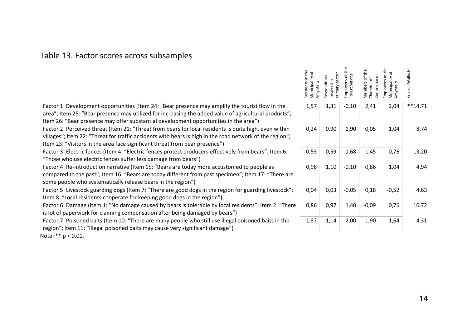## Table 13. Factor scores across subsamples

|                                                                                                                                                                                                                                                                                                    | Residents in the<br>Municipality of<br>Amyntaio | primary sector<br>Respondents<br>nvolved in | of the<br>Service<br>Employees<br>est<br>ā | Commerce in<br>Members of<br>ᡃᡠ<br>Chamber | Municipali<br>imployee<br>Amyntaio | Kruskal-Wallis H |
|----------------------------------------------------------------------------------------------------------------------------------------------------------------------------------------------------------------------------------------------------------------------------------------------------|-------------------------------------------------|---------------------------------------------|--------------------------------------------|--------------------------------------------|------------------------------------|------------------|
| Factor 1: Development opportunities (Item 24: "Bear presence may amplify the tourist flow in the<br>area"; Item 25: "Bear presence may utilized for increasing the added value of agricultural products";<br>Item 26: "Bear presence may offer substantial development opportunities in the area") | 1,57                                            | 1,31                                        | $-0,10$                                    | 2,41                                       | 2,04                               | $**14,71$        |
| Factor 2: Perceived threat (Item 21: "Threat from bears for local residents is quite high, even within<br>villages"; Item 22: "Threat for traffic accidents with bears is high in the road network of the region";<br>Item 23: "Visitors in the area face significant threat from bear presence")  | 0,24                                            | 0,90                                        | 1,90                                       | 0,05                                       | 1,04                               | 8,74             |
| Factor 3: Electric fences (Item 4: "Electric fences protect producers effectively from bears"; Item 6:<br>"Those who use electric fences suffer less damage from bears")                                                                                                                           | 0,53                                            | 0,59                                        | 1,68                                       | 1,45                                       | 0,76                               | 13,20            |
| Factor 4: Re-introduction narrative (Item 15: "Bears are today more accustomed to people as<br>compared to the past"; Item 16: "Bears are today different from past specimen"; Item 17: "There are<br>some people who systematically release bears in the region")                                 | 0,98                                            | 1,10                                        | $-0,10$                                    | 0,86                                       | 1,04                               | 4,94             |
| Factor 5: Livestock guarding dogs (Item 7: "There are good dogs in the region for guarding livestock";<br>Item 8: "Local residents cooperate for keeping good dogs in the region")                                                                                                                 | 0,04                                            | 0,03                                        | $-0,05$                                    | 0,18                                       | $-0,52$                            | 4,63             |
| Factor 6: Damage (Item 1: "No damage caused by bears is tolerable by local residents"; Item 2: "There<br>is lot of paperwork for claiming compensation after being damaged by bears")                                                                                                              | 0,86                                            | 0,97                                        | 1,40                                       | $-0,09$                                    | 0,76                               | 10,72            |
| Factor 7: Poisoned baits (Item 10: "There are many people who still use illegal poisoned baits in the<br>region"; Item 11: "Illegal poisoned baits may cause very significant damage")                                                                                                             | 1,37                                            | 1,14                                        | 2,00                                       | 1,90                                       | 1,64                               | 4,31             |

Note: \*\* p < 0.01.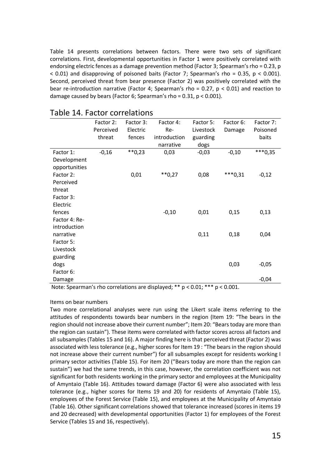Table 14 presents correlations between factors. There were two sets of significant correlations. First, developmental opportunities in Factor 1 were positively correlated with endorsing electric fences as a damage prevention method (Factor 3; Spearman's rho = 0.23, p  $<$  0.01) and disapproving of poisoned baits (Factor 7; Spearman's rho = 0.35, p  $<$  0.001). Second, perceived threat from bear presence (Factor 2) was positively correlated with the bear re-introduction narrative (Factor 4; Spearman's rho =  $0.27$ , p <  $0.01$ ) and reaction to damage caused by bears (Factor 6; Spearman's rho =  $0.31$ ,  $p < 0.001$ ).

|               | Factor 2: | Factor 3: | Factor 4:    | Factor 5: | Factor 6: | Factor 7: |
|---------------|-----------|-----------|--------------|-----------|-----------|-----------|
|               | Perceived | Electric  | Re-          | Livestock | Damage    | Poisoned  |
|               | threat    | fences    | introduction | guarding  |           | baits     |
|               |           |           | narrative    | dogs      |           |           |
| Factor 1:     | $-0,16$   | $**0,23$  | 0,03         | $-0,03$   | $-0,10$   | $***0,35$ |
| Development   |           |           |              |           |           |           |
| opportunities |           |           |              |           |           |           |
| Factor 2:     |           | 0,01      | $**0,27$     | 0,08      | $***0,31$ | $-0,12$   |
| Perceived     |           |           |              |           |           |           |
| threat        |           |           |              |           |           |           |
| Factor 3:     |           |           |              |           |           |           |
| Electric      |           |           |              |           |           |           |
| fences        |           |           | $-0,10$      | 0,01      | 0,15      | 0,13      |
| Factor 4: Re- |           |           |              |           |           |           |
| introduction  |           |           |              |           |           |           |
| narrative     |           |           |              | 0,11      | 0,18      | 0,04      |
| Factor 5:     |           |           |              |           |           |           |
| Livestock     |           |           |              |           |           |           |
| guarding      |           |           |              |           |           |           |
| dogs          |           |           |              |           | 0,03      | $-0,05$   |
| Factor 6:     |           |           |              |           |           |           |
| Damage        |           |           |              |           |           | $-0,04$   |

#### Table 14. Factor correlations

Note: Spearman's rho correlations are displayed; \*\* p < 0.01; \*\*\* p < 0.001.

#### Items on bear numbers

Two more correlational analyses were run using the Likert scale items referring to the attitudes of respondents towards bear numbers in the region (Item 19: "The bears in the region should not increase above their current number"; Item 20: "Bears today are more than the region can sustain"). These items were correlated with factor scores across all factors and all subsamples (Tables 15 and 16). A major finding here is that perceived threat (Factor 2) was associated with less tolerance (e.g., higher scores for Item 19 : "The bears in the region should not increase above their current number") for all subsamples except for residents working I primary sector activities (Table 15). For item 20 ("Bears today are more than the region can sustain") we had the same trends, in this case, however, the correlation coefficient was not significant for both residents working in the primary sector and employees at the Municipality of Amyntaio (Table 16). Attitudes toward damage (Factor 6) were also associated with less tolerance (e.g., higher scores for Items 19 and 20) for residents of Amyntaio (Table 15), employees of the Forest Service (Table 15), and employees at the Municipality of Amyntaio (Table 16). Other significant correlations showed that tolerance increased (scores in items 19 and 20 decreased) with developmental opportunities (Factor 1) for employees of the Forest Service (Tables 15 and 16, respectively).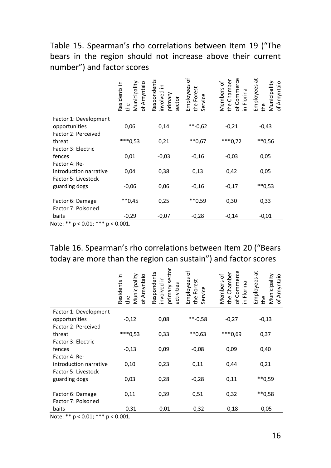Table 15. Spearman's rho correlations between Item 19 ("The bears in the region should not increase above their current number") and factor scores

|                                        | Municipality<br>Residents in<br>of Amyntaio<br>the | Respondents<br>크.<br>involved<br>primary<br>sector | ð<br>Employees<br>Forest<br>Service<br>the | of Commerce<br>the Chamber<br>Members of<br>in Florina | ã<br>Municipality<br>of Amyntaio<br>Employees<br>the |
|----------------------------------------|----------------------------------------------------|----------------------------------------------------|--------------------------------------------|--------------------------------------------------------|------------------------------------------------------|
| Factor 1: Development                  |                                                    |                                                    |                                            |                                                        |                                                      |
| opportunities                          | 0,06                                               | 0,14                                               | $*$ -0,62                                  | $-0,21$                                                | $-0,43$                                              |
| Factor 2: Perceived                    |                                                    |                                                    |                                            |                                                        |                                                      |
| threat                                 | $***0,53$                                          | 0,21                                               | $**0,67$                                   | $***0,72$                                              | **0,56                                               |
| Factor 3: Electric                     |                                                    |                                                    |                                            |                                                        |                                                      |
| fences                                 | 0,01                                               | $-0,03$                                            | $-0,16$                                    | $-0,03$                                                | 0,05                                                 |
| Factor 4: Re-                          |                                                    |                                                    |                                            |                                                        |                                                      |
| introduction narrative                 | 0,04                                               | 0,38                                               | 0,13                                       | 0,42                                                   | 0,05                                                 |
| Factor 5: Livestock                    |                                                    |                                                    |                                            |                                                        |                                                      |
| guarding dogs                          | $-0,06$                                            | 0,06                                               | $-0,16$                                    | $-0,17$                                                | $**0,53$                                             |
| Factor 6: Damage<br>Factor 7: Poisoned | $**0,45$                                           | 0,25                                               | $**0,59$                                   | 0,30                                                   | 0,33                                                 |
| baits                                  | $-0,29$                                            | $-0,07$                                            | $-0,28$                                    | $-0,14$                                                | $-0,01$                                              |

Note: \*\*  $p < 0.01$ ; \*\*\*  $p < 0.001$ .

### Table 16. Spearman's rho correlations between Item 20 ("Bears today are more than the region can sustain") and factor scores

|                        | Municipality<br>Residents in<br>of Amyntaio<br>the | primary sector<br>Respondents<br>involved in<br>activities | Employees of<br>the Forest<br>Service | of Commerce<br>the Chamber<br>Members of<br>in Florina | ã<br>Municipality<br>of Amyntaio<br>Employees<br>the |
|------------------------|----------------------------------------------------|------------------------------------------------------------|---------------------------------------|--------------------------------------------------------|------------------------------------------------------|
| Factor 1: Development  |                                                    |                                                            |                                       |                                                        |                                                      |
| opportunities          | $-0,12$                                            | 0,08                                                       | $*$ -0,58                             | $-0,27$                                                | $-0,13$                                              |
| Factor 2: Perceived    |                                                    |                                                            |                                       |                                                        |                                                      |
| threat                 | $***0,53$                                          | 0,33                                                       | $**0,63$                              | ***0,69                                                | 0,37                                                 |
| Factor 3: Electric     |                                                    |                                                            |                                       |                                                        |                                                      |
| fences                 | $-0,13$                                            | 0,09                                                       | $-0,08$                               | 0,09                                                   | 0,40                                                 |
| Factor 4: Re-          |                                                    |                                                            |                                       |                                                        |                                                      |
| introduction narrative | 0,10                                               | 0,23                                                       | 0,11                                  | 0,44                                                   | 0,21                                                 |
| Factor 5: Livestock    |                                                    |                                                            |                                       |                                                        |                                                      |
| guarding dogs          | 0,03                                               | 0,28                                                       | $-0,28$                               | 0,11                                                   | **0,59                                               |
|                        |                                                    |                                                            |                                       |                                                        |                                                      |
| Factor 6: Damage       | 0,11                                               | 0,39                                                       | 0,51                                  | 0,32                                                   | **0,58                                               |
| Factor 7: Poisoned     |                                                    |                                                            |                                       |                                                        |                                                      |
| baits<br>ملم ملم       | $-0,31$                                            | $-0,01$                                                    | $-0,32$                               | $-0,18$                                                | $-0,05$                                              |

Note: \*\* p < 0.01; \*\*\* p < 0.001.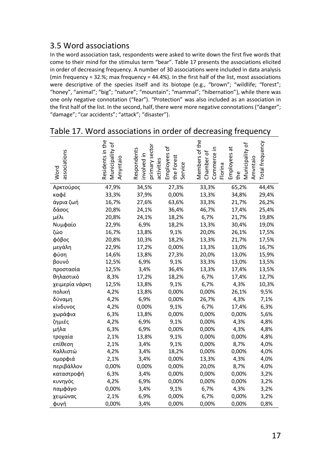#### 3.5 Word associations

In the word association task, respondents were asked to write down the first five words that come to their mind for the stimulus term "bear". Table 17 presents the associations elicited in order of decreasing frequency. A number of 30 associations were included in data analysis (min frequency = 32.%; max frequency = 44.4%). In the first half of the list, most associations were descriptive of the species itself and its biotope (e.g., "brown"; "wildlife; "forest"; "honey", "animal"; "big"; "nature"; "mountain"; "mammal"; "hibernation"), while there was one only negative connotation ("fear"). "Protection" was also included as an association in the first half of the list. In the second, half, there were more negative connotations ("danger"; "damage"; "car accidents"; "attack"; "disaster").

| associations<br>Word | Residents in the<br>Municipality of<br>Amyntaio | primary sector<br>Respondents<br>involved in<br>activities | Employees of<br>the Forest<br>Service | Members of the<br>Commerce in<br>Chamber of<br>Florina | Municipality of<br>Employees at<br>Amvntaio<br>the | Total frequency |
|----------------------|-------------------------------------------------|------------------------------------------------------------|---------------------------------------|--------------------------------------------------------|----------------------------------------------------|-----------------|
| Αρκτούρος            | 47,9%                                           | 34,5%                                                      | 27,3%                                 | 33,3%                                                  | 65,2%                                              | 44,4%           |
| καφέ                 | 33,3%                                           | 37,9%                                                      | 0,00%                                 | 13,3%                                                  | 34,8%                                              | 29,4%           |
| άγρια ζωή            | 16,7%                                           | 27,6%                                                      | 63,6%                                 | 33,3%                                                  | 21,7%                                              | 26,2%           |
| δάσος                | 20,8%                                           | 24,1%                                                      | 36,4%                                 | 46,7%                                                  | 17,4%                                              | 25,4%           |
| μέλι                 | 20,8%                                           | 24,1%                                                      | 18,2%                                 | 6,7%                                                   | 21,7%                                              | 19,8%           |
| Νυμφαίο              | 22,9%                                           | 6,9%                                                       | 18,2%                                 | 13,3%                                                  | 30,4%                                              | 19,0%           |
| ζώο                  | 16,7%                                           | 13,8%                                                      | 9,1%                                  | 20,0%                                                  | 26,1%                                              | 17,5%           |
| φόβος                | 20,8%                                           | 10,3%                                                      | 18,2%                                 | 13,3%                                                  | 21,7%                                              | 17,5%           |
| μεγάλη               | 22,9%                                           | 17,2%                                                      | 0,00%                                 | 13,3%                                                  | 13,0%                                              | 16,7%           |
| φύση                 | 14,6%                                           | 13,8%                                                      | 27,3%                                 | 20,0%                                                  | 13,0%                                              | 15,9%           |
| βουνό                | 12,5%                                           | 6,9%                                                       | 9,1%                                  | 33,3%                                                  | 13,0%                                              | 13,5%           |
| προστασία            | 12,5%                                           | 3,4%                                                       | 36,4%                                 | 13,3%                                                  | 17,4%                                              | 13,5%           |
| θηλαστικό            | 8,3%                                            | 17,2%                                                      | 18,2%                                 | 6,7%                                                   | 17,4%                                              | 12,7%           |
| χειμερία νάρκη       | 12,5%                                           | 13,8%                                                      | 9,1%                                  | 6,7%                                                   | 4,3%                                               | 10,3%           |
| πολική               | 4,2%                                            | 13,8%                                                      | 0,00%                                 | 0,00%                                                  | 26,1%                                              | 9,5%            |
| δύναμη               | 4,2%                                            | 6,9%                                                       | 0,00%                                 | 26,7%                                                  | 4,3%                                               | 7,1%            |
| κίνδυνος             | 4,2%                                            | 0,00%                                                      | 9,1%                                  | 6,7%                                                   | 17,4%                                              | 6,3%            |
| χωράφια              | 6,3%                                            | 13,8%                                                      | 0,00%                                 | 0,00%                                                  | 0,00%                                              | 5,6%            |
| ζημιές               | 4,2%                                            | 6,9%                                                       | 9,1%                                  | 0,00%                                                  | 4,3%                                               | 4,8%            |
| μήλα                 | 6,3%                                            | 6,9%                                                       | 0,00%                                 | 0,00%                                                  | 4,3%                                               | 4,8%            |
| τροχαία              | 2,1%                                            | 13,8%                                                      | 9,1%                                  | 0,00%                                                  | 0,00%                                              | 4,8%            |
| επίθεση              | 2,1%                                            | 3,4%                                                       | 9,1%                                  | 0,00%                                                  | 8,7%                                               | 4,0%            |
| Καλλιστώ             | 4,2%                                            | 3,4%                                                       | 18,2%                                 | 0,00%                                                  | 0,00%                                              | 4,0%            |
| ομορφιά              | 2,1%                                            | 3,4%                                                       | 0,00%                                 | 13,3%                                                  | 4,3%                                               | 4,0%            |
| περιβάλλον           | 0,00%                                           | 0,00%                                                      | 0,00%                                 | 20,0%                                                  | 8,7%                                               | 4,0%            |
| καταστροφή           | 6,3%                                            | 3,4%                                                       | 0,00%                                 | 0,00%                                                  | 0,00%                                              | 3,2%            |
| κυνηγός              | 4,2%                                            | 6,9%                                                       | 0,00%                                 | 0,00%                                                  | 0,00%                                              | 3,2%            |
| παμφάγο              | 0,00%                                           | 3,4%                                                       | 9,1%                                  | 6,7%                                                   | 4,3%                                               | 3,2%            |
| χειμώνας             | 2,1%                                            | 6,9%                                                       | 0,00%                                 | 6,7%                                                   | 0,00%                                              | 3,2%            |
| φυγή                 | 0,00%                                           | 3,4%                                                       | 0,00%                                 | 0,00%                                                  | 0,00%                                              | 0,8%            |

#### Table 17. Word associations in order of decreasing frequency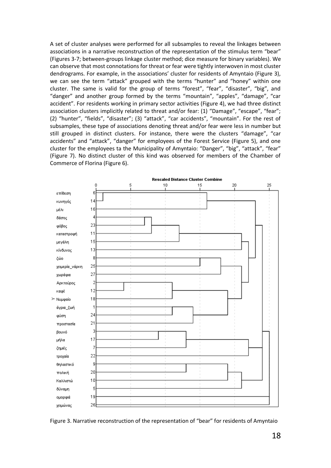A set of cluster analyses were performed for all subsamples to reveal the linkages between associations in a narrative reconstruction of the representation of the stimulus term "bear" (Figures 3-7; between-groups linkage cluster method; dice measure for binary variables). We can observe that most connotations for threat or fear were tightly interwoven in most cluster dendrograms. For example, in the associations' cluster for residents of Amyntaio (Figure 3), we can see the term "attack" grouped with the terms "hunter" and "honey" within one cluster. The same is valid for the group of terms "forest", "fear", "disaster", "big", and "danger" and another group formed by the terms "mountain", "apples", "damage", "car accident". For residents working in primary sector activities (Figure 4), we had three distinct association clusters implicitly related to threat and/or fear: (1) "Damage", "escape", "fear"; (2) "hunter", "fields", "disaster"; (3) "attack", "car accidents", "mountain". For the rest of subsamples, these type of associations denoting threat and/or fear were less in number but still grouped in distinct clusters. For instance, there were the clusters "damage", "car accidents" and "attack", "danger" for employees of the Forest Service (Figure 5), and one cluster for the employees ta the Municipality of Amyntaio: "Danger", "big", "attack", "fear" (Figure 7). No distinct cluster of this kind was observed for members of the Chamber of Commerce of Florina (Figure 6).



Figure 3. Narrative reconstruction of the representation of "bear" for residents of Amyntaio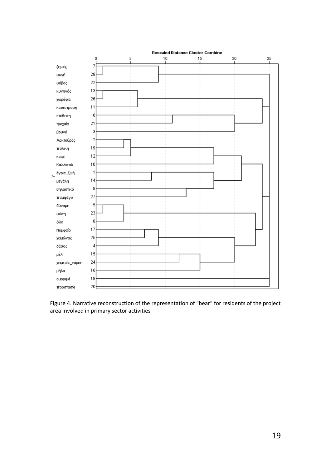

Figure 4. Narrative reconstruction of the representation of "bear" for residents of the project area involved in primary sector activities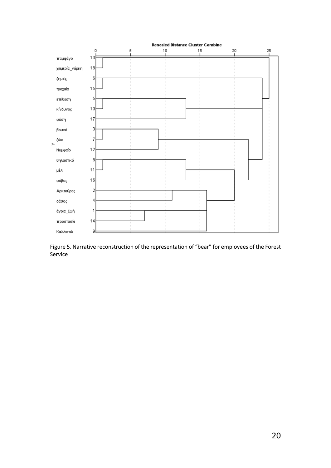

Figure 5. Narrative reconstruction of the representation of "bear" for employees of the Forest Service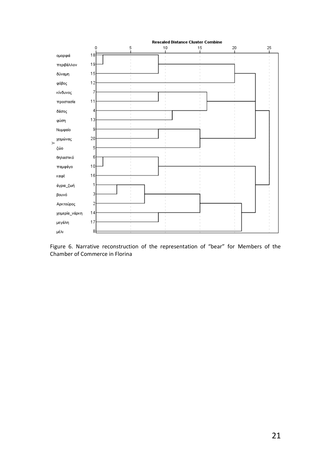

Figure 6. Narrative reconstruction of the representation of "bear" for Members of the Chamber of Commerce in Florina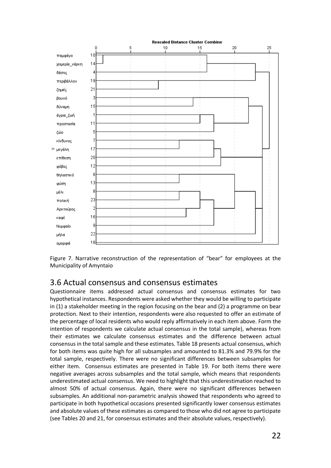

Figure 7. Narrative reconstruction of the representation of "bear" for employees at the Municipality of Amyntaio

#### 3.6 Actual consensus and consensus estimates

Questionnaire items addressed actual consensus and consensus estimates for two hypothetical instances. Respondents were asked whether they would be willing to participate in (1) a stakeholder meeting in the region focusing on the bear and (2) a programme on bear protection. Next to their intention, respondents were also requested to offer an estimate of the percentage of local residents who would reply affirmatively in each item above. Form the intention of respondents we calculate actual consensus in the total sample), whereas from their estimates we calculate consensus estimates and the difference between actual consensus in the total sample and these estimates. Table 18 presents actual consensus, which for both items was quite high for all subsamples and amounted to 81.3% and 79.9% for the total sample, respectively. There were no significant differences between subsamples for either item. Consensus estimates are presented in Table 19. For both items there were negative averages across subsamples and the total sample, which means that respondents underestimated actual consensus. We need to highlight that this underestimation reached to almost 50% of actual consensus. Again, there were no significant differences between subsamples. An additional non-parametric analysis showed that respondents who agreed to participate in both hypothetical occasions presented significantly lower consensus estimates and absolute values of these estimates as compared to those who did not agree to participate (see Tables 20 and 21, for consensus estimates and their absolute values, respectively).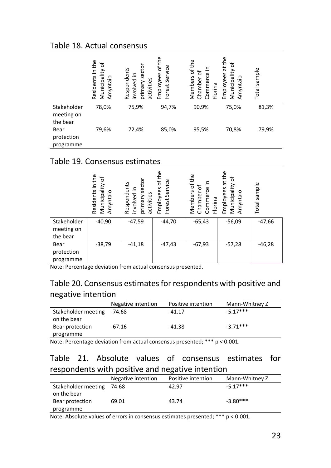#### Table 18. Actual consensus

|                                        | in the<br>Ⴆ<br>Municipality<br>Residents<br>Amyntaio | secto<br>Respondents<br>involved in<br>activities<br>primary | of the<br>Service<br>Employees<br>Forest | Members of the<br>৳<br>Commerce<br>Chamber<br>Florina | the<br>$\sigma$<br>$\vec{a}$<br>Municipality<br>Employees<br>Amyntaio | sample<br>Total |
|----------------------------------------|------------------------------------------------------|--------------------------------------------------------------|------------------------------------------|-------------------------------------------------------|-----------------------------------------------------------------------|-----------------|
| Stakeholder<br>meeting on<br>the bear  | 78,0%                                                | 75,9%                                                        | 94,7%                                    | 90,9%                                                 | 75,0%                                                                 | 81,3%           |
| <b>Bear</b><br>protection<br>programme | 79,6%                                                | 72,4%                                                        | 85,0%                                    | 95,5%                                                 | 70,8%                                                                 | 79,9%           |

#### Table 19. Consensus estimates

|                                       | Residents in the<br>Ⴆ<br>Municipality<br>Amyntaio | sector<br>Respondents<br>involved in<br>primary s<br>activities | of the<br>Service<br>Employees<br>Forest | the<br>르.<br>Members of<br>৳<br>Commerce<br>Chamber<br>Florina | at the<br>Ⴆ<br>Municipality<br>Employees<br>Amyntaio | sample<br>Total |
|---------------------------------------|---------------------------------------------------|-----------------------------------------------------------------|------------------------------------------|----------------------------------------------------------------|------------------------------------------------------|-----------------|
| Stakeholder<br>meeting on<br>the bear | $-40,90$                                          | $-47,59$                                                        | $-44,70$                                 | $-65,43$                                                       | $-56,09$                                             | $-47,66$        |
| Bear<br>protection<br>programme       | $-38,79$                                          | $-41,18$                                                        | $-47,43$                                 | $-67,93$                                                       | $-57,28$                                             | $-46,28$        |

Note: Percentage deviation from actual consensus presented.

### Table 20. Consensus estimates for respondents with positive and negative intention

|                            | Negative intention | Positive intention | Mann-Whitney Z |
|----------------------------|--------------------|--------------------|----------------|
| Stakeholder meeting -74.68 |                    | $-41.17$           | $-5.17***$     |
| on the bear                |                    |                    |                |
| Bear protection            | -67.16             | -41.38             | $-3.71***$     |
| programme                  |                    |                    |                |

Note: Percentage deviation from actual consensus presented; \*\*\* p < 0.001.

### Table 21. Absolute values of consensus estimates for respondents with positive and negative intention

|                                    | Negative intention | Positive intention | Mann-Whitney Z |
|------------------------------------|--------------------|--------------------|----------------|
| Stakeholder meeting<br>on the bear | 74.68              | 42.97              | $-5.17***$     |
| Bear protection                    | 69.01              | 43.74              | $-3.80***$     |
| programme                          |                    |                    |                |

Note: Absolute values of errors in consensus estimates presented; \*\*\* p < 0.001.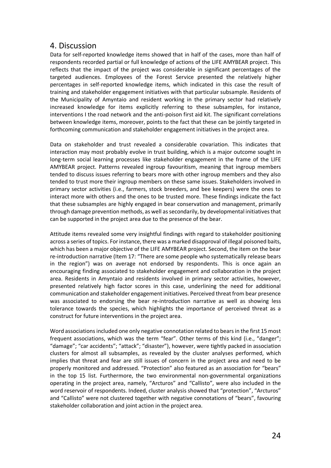#### 4. Discussion

Data for self-reported knowledge items showed that in half of the cases, more than half of respondents recorded partial or full knowledge of actions of the LIFE AMYBEAR project. This reflects that the impact of the project was considerable in significant percentages of the targeted audiences. Employees of the Forest Service presented the relatively higher percentages in self-reported knowledge items, which indicated in this case the result of training and stakeholder engagement initiatives with that particular subsample. Residents of the Municipality of Amyntaio and resident working in the primary sector had relatively increased knowledge for items explicitly referring to these subsamples, for instance, interventions I the road network and the anti-poison first aid kit. The significant correlations between knowledge items, moreover, points to the fact that these can be jointly targeted in forthcoming communication and stakeholder engagement initiatives in the project area.

Data on stakeholder and trust revealed a considerable covariation. This indicates that interaction may most probably evolve in trust building, which is a major outcome sought in long-term social learning processes like stakeholder engagement in the frame of the LIFE AMYBEAR project. Patterns revealed ingroup favouritism, meaning that ingroup members tended to discuss issues referring to bears more with other ingroup members and they also tended to trust more their ingroup members on these same issues. Stakeholders involved in primary sector activities (i.e., farmers, stock breeders, and bee keepers) were the ones to interact more with others and the ones to be trusted more. These findings indicate the fact that these subsamples are highly engaged in bear conservation and management, primarily through damage prevention methods, as well as secondarily, by developmental initiatives that can be supported in the project area due to the presence of the bear.

Attitude items revealed some very insightful findings with regard to stakeholder positioning across a series of topics. For instance, there was a marked disapproval of illegal poisoned baits, which has been a major objective of the LIFE AMYBEAR project. Second, the item on the bear re-introduction narrative (Item 17: "There are some people who systematically release bears in the region") was on average not endorsed by respondents. This is once again an encouraging finding associated to stakeholder engagement and collaboration in the project area. Residents in Amyntaio and residents involved in primary sector activities, however, presented relatively high factor scores in this case, underlining the need for additional communication and stakeholder engagement initiatives. Perceived threat from bear presence was associated to endorsing the bear re-introduction narrative as well as showing less tolerance towards the species, which highlights the importance of perceived threat as a construct for future interventions in the project area.

Word associations included one only negative connotation related to bears in the first 15 most frequent associations, which was the term "fear". Other terms of this kind (i.e., "danger"; "damage"; "car accidents"; "attack"; "disaster"), however, were tightly packed in association clusters for almost all subsamples, as revealed by the cluster analyses performed, which implies that threat and fear are still issues of concern in the project area and need to be properly monitored and addressed. "Protection" also featured as an association for "bears" in the top 15 list. Furthermore, the two environmental non-governmental organizations operating in the project area, namely, "Arcturos" and "Callisto", were also included in the word reservoir of respondents. Indeed, cluster analysis showed that "protection", "Arcturos" and "Callisto" were not clustered together with negative connotations of "bears", favouring stakeholder collaboration and joint action in the project area.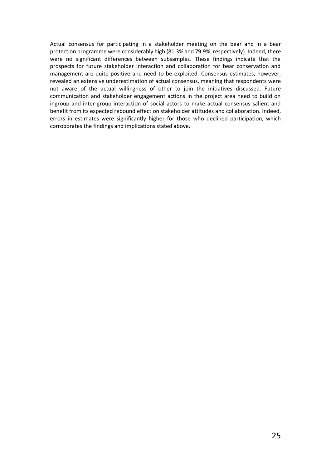Actual consensus for participating in a stakeholder meeting on the bear and in a bear protection programme were considerably high (81.3% and 79.9%, respectively). Indeed, there were no significant differences between subsamples. These findings indicate that the prospects for future stakeholder interaction and collaboration for bear conservation and management are quite positive and need to be exploited. Consensus estimates, however, revealed an extensive underestimation of actual consensus, meaning that respondents were not aware of the actual willingness of other to join the initiatives discussed. Future communication and stakeholder engagement actions in the project area need to build on ingroup and inter-group interaction of social actors to make actual consensus salient and benefit from its expected rebound effect on stakeholder attitudes and collaboration. Indeed, errors in estimates were significantly higher for those who declined participation, which corroborates the findings and implications stated above.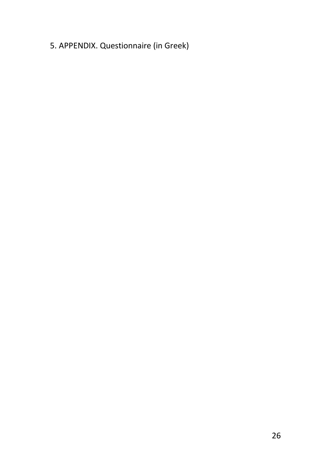## 5. APPENDIX. Questionnaire (in Greek)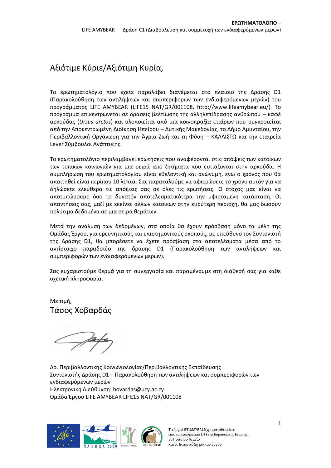## Αξιότιμε Κύριε/Αξιότιμη Κυρία,

Το ερωτηματολόγιο που έχετε παραλάβει διανέμεται στο πλαίσιο της Δράσης D1 (Παρακολούθηση των αντιλήψεων και συμπεριφορών των ενδιαφερόμενων μερών) του προγράμματος LIFE AMYBEAR (LIFE15 NAT/GR/001108, [http://www.lifeamybear.eu/\)](http://www.lifeamybear.eu/). Το πρόγραμμα επικεντρώνεται σε δράσεις βελτίωσης της αλληλεπίδρασης ανθρώπου – καφέ αρκούδας (*Ursus arctos*) και υλοποιείται από μια κοινοπραξία εταίρων που συγκροτείται από την Αποκεντρωμένη Διοίκηση Ηπείρου – Δυτικής Μακεδονίας, το Δήμο Αμυνταίου, την Περιβαλλοντική Οργάνωση για την Άγρια Ζωή και τη Φύση – ΚΑΛΛΙΣΤΩ και την εταιρεία Lever Σύμβουλοι Ανάπτυξης.

Το ερωτηματολόγιο περιλαμβάνει ερωτήσεις που αναφέρονται στις απόψεις των κατοίκων των τοπικών κοινωνιών για μια σειρά από ζητήματα που εστιάζονται στην αρκούδα. Η συμπλήρωση του ερωτηματολογίου είναι εθελοντική και ανώνυμη, ενώ ο χρόνος που θα απαιτηθεί είναι περίπου 10 λεπτά. Σας παρακαλούμε να αφιερώσετε το χρόνο αυτόν για να δηλώσετε ελεύθερα τις απόψεις σας σε όλες τις ερωτήσεις. Ο στόχος μας είναι να αποτυπώσουμε όσο το δυνατόν αποτελεσματικότερα την υφιστάμενη κατάσταση. Οι απαντήσεις σας, μαζί με εκείνες άλλων κατοίκων στην ευρύτερη περιοχή, θα μας δώσουν πολύτιμα δεδομένα σε μια σειρά θεμάτων.

Μετά την ανάλυση των δεδομένων, στα οποία θα έχουν πρόσβαση μόνο τα μέλη της Ομάδας Έργου, για ερευνητικούς και επιστημονικούς σκοπούς, με υπεύθυνο τον Συντονιστή της Δράσης D1, θα μπορέσετε να έχετε πρόσβαση στα αποτελέσματα μέσα από το αντίστοιχο παραδοτέο της δράσης D1 (Παρακολούθηση των αντιλήψεων και συμπεριφορών των ενδιαφερόμενων μερών).

Σας ευχαριστούμε θερμά για τη συνεργασία και παραμένουμε στη διάθεσή σας για κάθε σχετική πληροφορία.

Με τιμή, Τάσος Χοβαρδάς

Δρ. Περιβαλλοντικής Κοινωνιολογίας/Περιβαλλοντικής Εκπαίδευσης Συντονιστής Δράσης D1 – Παρακολούθηση των αντιλήψεων και συμπεριφορών των ενδιαφερόμενων μερών Ηλεκτρονική Διεύθυνση: hovardas@ucy.ac.cy Ομάδα Έργου LIFE AMYBEAR LIFE15 NAT/GR/001108

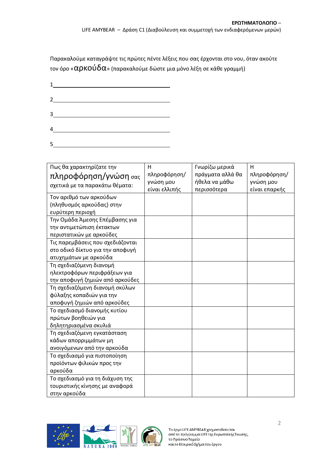Παρακαλούμε καταγράψτε τις πρώτες πέντε λέξεις που σας έρχονται στο νου, όταν ακούτε τον όρο « $\alpha$ ρΚΟύ $\delta\alpha$ » (παρακαλούμε δώστε μια μόνο λέξη σε κάθε γραμμή)

|   | $2 \overline{\phantom{a} \phantom{a} \phantom{a} \phantom{a} \phantom{a}}$ |  |  |
|---|----------------------------------------------------------------------------|--|--|
|   | $3 \overline{\phantom{a} \phantom{a} \phantom{a}}$                         |  |  |
|   | $4 \quad \qquad$                                                           |  |  |
| 5 |                                                                            |  |  |

| Πως θα χαρακτηρίζατε την         | H             | Γνωρίζω μερικά   | H             |
|----------------------------------|---------------|------------------|---------------|
| πληροφόρηση/γνώση σας            | πληροφόρηση/  | πράγματα αλλά θα | πληροφόρηση/  |
| σχετικά με τα παρακάτω θέματα:   | γνώση μου     | ήθελα να μάθω    | γνώση μου     |
|                                  | είναι ελλιπής | περισσότερα      | είναι επαρκής |
| Τον αριθμό των αρκούδων          |               |                  |               |
| (πληθυσμός αρκούδας) στην        |               |                  |               |
| ευρύτερη περιοχή                 |               |                  |               |
| Την Ομάδα Άμεσης Επέμβασης για   |               |                  |               |
| την αντιμετώπιση έκτακτων        |               |                  |               |
| περιστατικών με αρκούδες         |               |                  |               |
| Τις παρεμβάσεις που σχεδιάζονται |               |                  |               |
| στο οδικό δίκτυο για την αποφυγή |               |                  |               |
| ατυχημάτων με αρκούδα            |               |                  |               |
| Τη σχεδιαζόμενη διανομή          |               |                  |               |
| ηλεκτροφόρων περιφράξεων για     |               |                  |               |
| την αποφυγή ζημιών από αρκούδες  |               |                  |               |
| Τη σχεδιαζόμενη διανομή σκύλων   |               |                  |               |
| φύλαξης κοπαδιών για την         |               |                  |               |
| αποφυγή ζημιών από αρκούδες      |               |                  |               |
| Το σχεδιασμό διανομής κυτίου     |               |                  |               |
| πρώτων βοηθειών για              |               |                  |               |
| δηλητηριασμένα σκυλιά            |               |                  |               |
| Τη σχεδιαζόμενη εγκατάσταση      |               |                  |               |
| κάδων απορριμμάτων μη            |               |                  |               |
| ανοιγόμενων από την αρκούδα      |               |                  |               |
| Το σχεδιασμό για πιστοποίηση     |               |                  |               |
| προϊόντων φιλικών προς την       |               |                  |               |
| αρκούδα                          |               |                  |               |
| Το σχεδιασμό για τη διάχυση της  |               |                  |               |
| τουριστικής κίνησης με αναφορά   |               |                  |               |
| στην αρκούδα                     |               |                  |               |

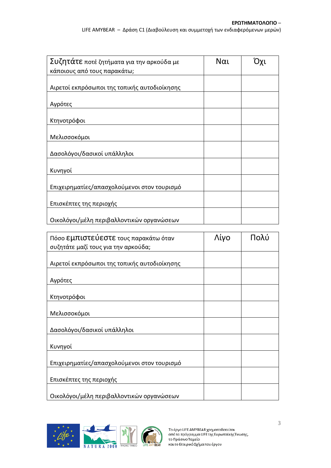| Συζητάτε ποτέ ζητήματα για την αρκούδα με    | Ναι |  |
|----------------------------------------------|-----|--|
| κάποιους από τους παρακάτω;                  |     |  |
| Αιρετοί εκπρόσωποι της τοπικής αυτοδιοίκησης |     |  |
| Αγρότες                                      |     |  |
| Κτηνοτρόφοι                                  |     |  |
| Μελισσοκόμοι                                 |     |  |
| Δασολόγοι/δασικοί υπάλληλοι                  |     |  |
| Κυνηγοί                                      |     |  |
| Επιχειρηματίες/απασχολούμενοι στον τουρισμό  |     |  |
| Επισκέπτες της περιοχής                      |     |  |
| Οικολόγοι/μέλη περιβαλλοντικών οργανώσεων    |     |  |

| Πόσο Εμπιστεύεστε τους παρακάτω όταν         | Λίγο | Πολύ |
|----------------------------------------------|------|------|
| συζητάτε μαζί τους για την αρκούδα;          |      |      |
|                                              |      |      |
| Αιρετοί εκπρόσωποι της τοπικής αυτοδιοίκησης |      |      |
| Αγρότες                                      |      |      |
| Κτηνοτρόφοι                                  |      |      |
| Μελισσοκόμοι                                 |      |      |
| Δασολόγοι/δασικοί υπάλληλοι                  |      |      |
| Κυνηγοί                                      |      |      |
| Επιχειρηματίες/απασχολούμενοι στον τουρισμό  |      |      |
| Επισκέπτες της περιοχής                      |      |      |
| Οικολόγοι/μέλη περιβαλλοντικών οργανώσεων    |      |      |

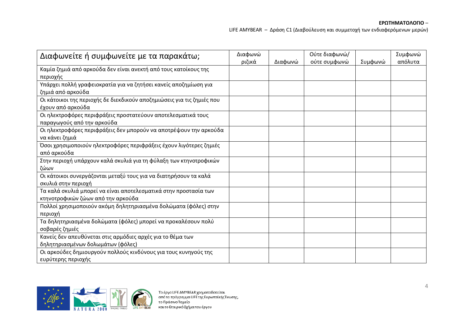**ΕΡΩΤΗΜΑΤΟΛΟΓΙΟ** –

LIFE AMYBEAR – Δράση C1 (Διαβούλευση και συμμετοχή των ενδιαφερόμενων μερών)

| Διαφωνείτε ή συμφωνείτε με τα παρακάτω;                                                         | Διαφωνώ<br>ριζικά | Διαφωνώ | Ούτε διαφωνώ/<br>ούτε συμφωνώ | Συμφωνώ | Συμφωνώ<br>απόλυτα |
|-------------------------------------------------------------------------------------------------|-------------------|---------|-------------------------------|---------|--------------------|
| Καμία ζημιά από αρκούδα δεν είναι ανεκτή από τους κατοίκους της                                 |                   |         |                               |         |                    |
| περιοχής<br>Υπάρχει πολλή γραφειοκρατία για να ζητήσει κανείς αποζημίωση για                    |                   |         |                               |         |                    |
| ζημιά από αρκούδα                                                                               |                   |         |                               |         |                    |
| Οι κάτοικοι της περιοχής δε διεκδικούν αποζημιώσεις για τις ζημιές που<br>έχουν από αρκούδα     |                   |         |                               |         |                    |
| Οι ηλεκτροφόρες περιφράξεις προστατεύουν αποτελεσματικά τους                                    |                   |         |                               |         |                    |
| παραγωγούς από την αρκούδα<br>Οι ηλεκτροφόρες περιφράξεις δεν μπορούν να αποτρέψουν την αρκούδα |                   |         |                               |         |                    |
| να κάνει ζημιά                                                                                  |                   |         |                               |         |                    |
| Όσοι χρησιμοποιούν ηλεκτροφόρες περιφράξεις έχουν λιγότερες ζημιές                              |                   |         |                               |         |                    |
| από αρκούδα                                                                                     |                   |         |                               |         |                    |
| Στην περιοχή υπάρχουν καλά σκυλιά για τη φύλαξη των κτηνοτροφικών                               |                   |         |                               |         |                    |
| ζώων                                                                                            |                   |         |                               |         |                    |
| Οι κάτοικοι συνεργάζονται μεταξύ τους για να διατηρήσουν τα καλά<br>σκυλιά στην περιοχή         |                   |         |                               |         |                    |
| Τα καλά σκυλιά μπορεί να είναι αποτελεσματικά στην προστασία των                                |                   |         |                               |         |                    |
| κτηνοτροφικών ζώων από την αρκούδα                                                              |                   |         |                               |         |                    |
| Πολλοί χρησιμοποιούν ακόμη δηλητηριασμένα δολώματα (φόλες) στην                                 |                   |         |                               |         |                    |
| περιοχή                                                                                         |                   |         |                               |         |                    |
| Τα δηλητηριασμένα δολώματα (φόλες) μπορεί να προκαλέσουν πολύ                                   |                   |         |                               |         |                    |
| σοβαρές ζημιές                                                                                  |                   |         |                               |         |                    |
| Κανείς δεν απευθύνεται στις αρμόδιες αρχές για το θέμα των                                      |                   |         |                               |         |                    |
| δηλητηριασμένων δολωμάτων (φόλες)                                                               |                   |         |                               |         |                    |
| Οι αρκούδες δημιουργούν πολλούς κινδύνους για τους κυνηγούς της                                 |                   |         |                               |         |                    |
| ευρύτερης περιοχής                                                                              |                   |         |                               |         |                    |

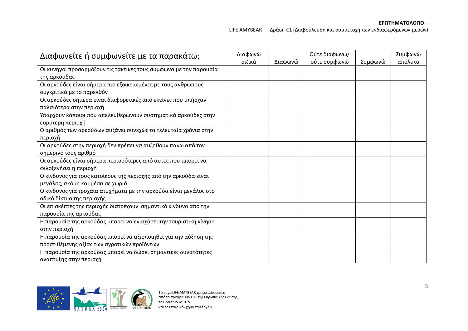**ΕΡΩΤΗΜΑΤΟΛΟΓΙΟ** –

LIFE AMYBEAR – Δράση C1 (Διαβούλευση και συμμετοχή των ενδιαφερόμενων μερών)

| Διαφωνείτε ή συμφωνείτε με τα παρακάτω;                                                                         | Διαφωνώ<br>ριζικά | Διαφωνώ | Ούτε διαφωνώ/<br>ούτε συμφωνώ | Συμφωνώ | Συμφωνώ<br>απόλυτα |
|-----------------------------------------------------------------------------------------------------------------|-------------------|---------|-------------------------------|---------|--------------------|
| Οι κυνηγοί προσαρμόζουν τις τακτικές τους σύμφωνα με την παρουσία                                               |                   |         |                               |         |                    |
| της αρκούδας<br>Οι αρκούδες είναι σήμερα πιο εξοικειωμένες με τους ανθρώπους<br>συγκριτικά με το παρελθόν       |                   |         |                               |         |                    |
| Οι αρκούδες σήμερα είναι διαφορετικές από εκείνες που υπήρχαν<br>παλαιότερα στην περιοχή                        |                   |         |                               |         |                    |
| Υπάρχουν κάποιοι που απελευθερώνουν συστηματικά αρκούδες στην<br>ευρύτερη περιοχή                               |                   |         |                               |         |                    |
| Ο αριθμός των αρκούδων αυξάνει συνεχώς τα τελευταία χρόνια στην<br>περιοχή                                      |                   |         |                               |         |                    |
| Οι αρκούδες στην περιοχή δεν πρέπει να αυξηθούν πάνω από τον<br>σημερινό τους αριθμό                            |                   |         |                               |         |                    |
| Οι αρκούδες είναι σήμερα περισσότερες από αυτές που μπορεί να<br>φιλοξενήσει η περιοχή                          |                   |         |                               |         |                    |
| Ο κίνδυνος για τους κατοίκους της περιοχής από την αρκούδα είναι<br>μεγάλος, ακόμη και μέσα σε χωριά            |                   |         |                               |         |                    |
| Ο κίνδυνος για τροχαία ατυχήματα με την αρκούδα είναι μεγάλος στο<br>οδικό δίκτυο της περιοχής                  |                   |         |                               |         |                    |
| Οι επισκέπτες της περιοχής διατρέχουν σημαντικό κίνδυνο από την<br>παρουσία της αρκούδας                        |                   |         |                               |         |                    |
| Η παρουσία της αρκούδας μπορεί να ενισχύσει την τουριστική κίνηση<br>στην περιοχή                               |                   |         |                               |         |                    |
| Η παρουσία της αρκούδας μπορεί να αξιοποιηθεί για την αύξηση της<br>προστιθέμενης αξίας των αγροτικών προϊόντων |                   |         |                               |         |                    |
| Η παρουσία της αρκούδας μπορεί να δώσει σημαντικές δυνατότητες<br>ανάπτυξης στην περιοχή                        |                   |         |                               |         |                    |